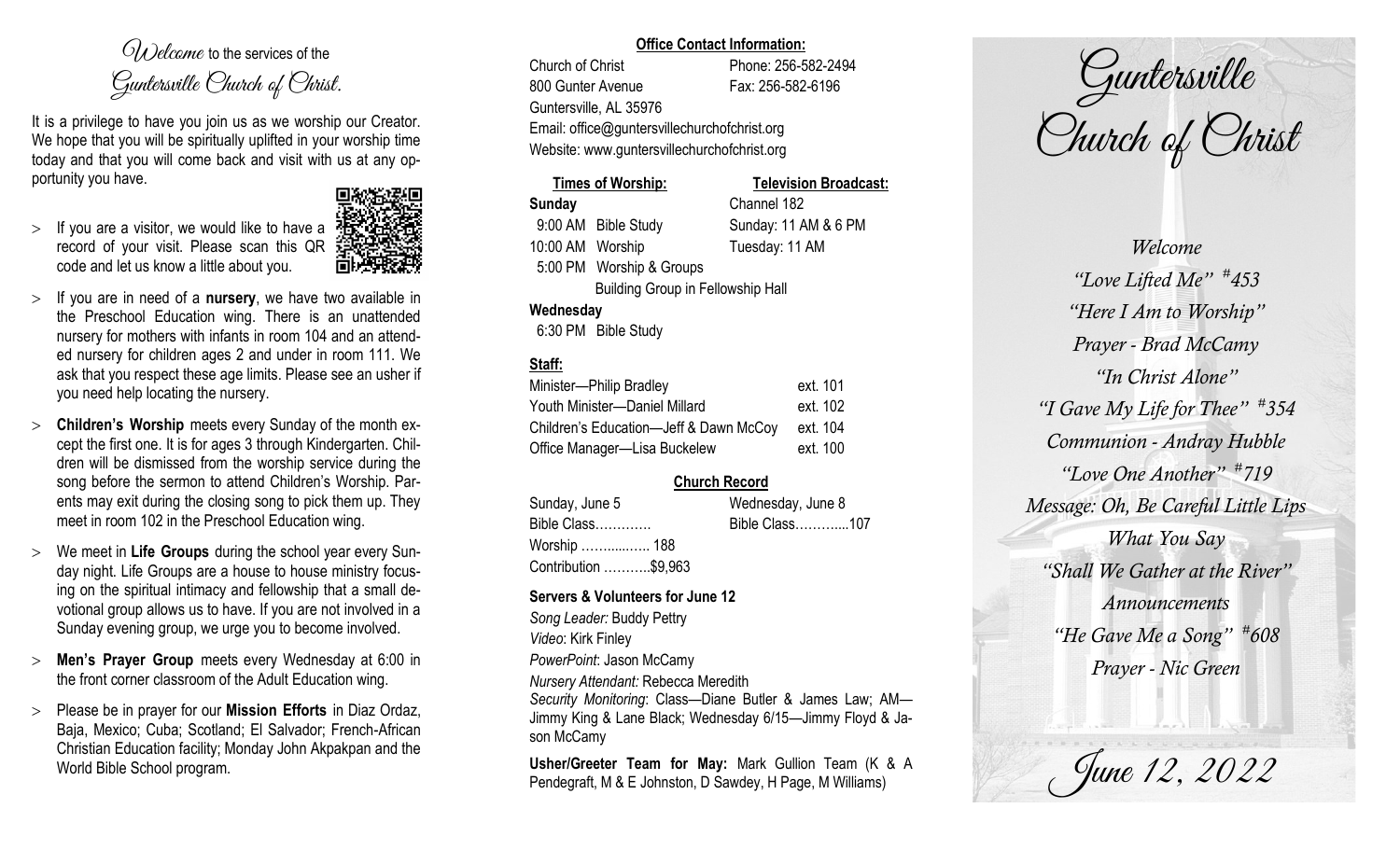$O(\lambda)$  elcame to the services of the Guntersville Church of Christ.

It is a privilege to have you join us as we worship our Creator. We hope that you will be spiritually uplifted in your worship time today and that you will come back and visit with us at any opportunity you have.

 $>$  If you are a visitor, we would like to have a record of your visit. Please scan this QR code and let us know a little about you.



- If you are in need of a **nursery**, we have two available in the Preschool Education wing. There is an unattended nursery for mothers with infants in room 104 and an attended nursery for children ages 2 and under in room 111. We ask that you respect these age limits. Please see an usher if you need help locating the nursery.
- **Children's Worship** meets every Sunday of the month except the first one. It is for ages 3 through Kindergarten. Children will be dismissed from the worship service during the song before the sermon to attend Children's Worship. Parents may exit during the closing song to pick them up. They meet in room 102 in the Preschool Education wing.
- We meet in **Life Groups** during the school year every Sunday night. Life Groups are a house to house ministry focusing on the spiritual intimacy and fellowship that a small devotional group allows us to have. If you are not involved in a Sunday evening group, we urge you to become involved.
- **Men's Prayer Group** meets every Wednesday at 6:00 in the front corner classroom of the Adult Education wing.
- Please be in prayer for our **Mission Efforts** in Diaz Ordaz, Baja, Mexico; Cuba; Scotland; El Salvador; French-African Christian Education facility; Monday John Akpakpan and the World Bible School program.

### **Office Contact Information:**

Church of Christ Phone: 256-582-2494 800 Gunter Avenue Fax: 256-582-6196 Guntersville, AL 35976 Email: office@guntersvillechurchofchrist.org Website: www.guntersvillechurchofchrist.org

# **Times of Worship: Television Broadcast: Sunday** Channel 182 9:00 AM Bible Study Sunday: 11 AM & 6 PM 10:00 AM Worship Tuesday: 11 AM 5:00 PM Worship & Groups Building Group in Fellowship Hall **Wednesday**

6:30 PM Bible Study

# **Staff:**

| Minister-Philip Bradley                | ext. 101 |
|----------------------------------------|----------|
| Youth Minister-Daniel Millard          | ext. 102 |
| Children's Education-Jeff & Dawn McCoy | ext. 104 |
| Office Manager-Lisa Buckelew           | ext. 100 |

# **Church Record**

| Sunday, June 5       | Wednesday, June 8 |  |
|----------------------|-------------------|--|
| Bible Class          | Bible Class107    |  |
| Worship  188         |                   |  |
| Contribution \$9,963 |                   |  |

#### **Servers & Volunteers for June 12**

*Song Leader:* Buddy Pettry *Video*: Kirk Finley *PowerPoint*: Jason McCamy *Nursery Attendant:* Rebecca Meredith *Security Monitoring*: Class—Diane Butler & James Law; AM— Jimmy King & Lane Black; Wednesday 6/15—Jimmy Floyd & Jason McCamy

**Usher/Greeter Team for May:** Mark Gullion Team (K & A Pendegraft, M & E Johnston, D Sawdey, H Page, M Williams)

Guntersville Church of Christ

*Welcome "Love Lifted Me" # 453 "Here I Am to Worship" Prayer - Brad McCamy "In Christ Alone" "I Gave My Life for Thee" # 354 Communion - Andray Hubble "Love One Another" # 719 Message: Oh, Be Careful Little Lips What You Say "Shall We Gather at the River" Announcements "He Gave Me a Song" # 608 Prayer - Nic Green*

June 12, 2022